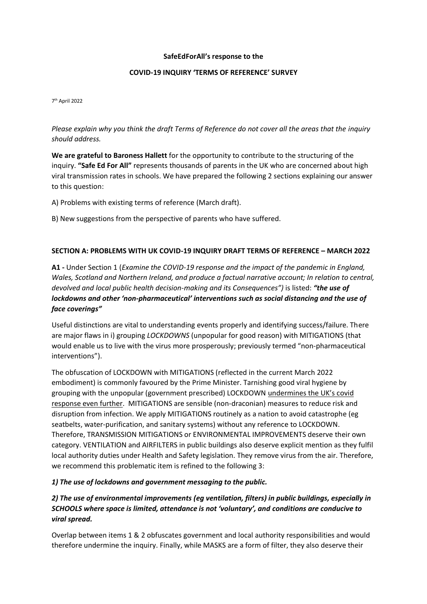#### **SafeEdForAll's response to the**

### **COVID-19 INQUIRY 'TERMS OF REFERENCE' SURVEY**

7 th April 2022

*Please explain why you think the draft Terms of Reference do not cover all the areas that the inquiry should address.*

**We are grateful to Baroness Hallett** for the opportunity to contribute to the structuring of the inquiry. **"Safe Ed For All"** represents thousands of parents in the UK who are concerned about high viral transmission rates in schools. We have prepared the following 2 sections explaining our answer to this question:

A) Problems with existing terms of reference (March draft).

B) New suggestions from the perspective of parents who have suffered.

### **SECTION A: PROBLEMS WITH UK COVID-19 INQUIRY DRAFT TERMS OF REFERENCE – MARCH 2022**

**A1 -** Under Section 1 (*Examine the COVID-19 response and the impact of the pandemic in England, Wales, Scotland and Northern Ireland, and produce a factual narrative account; In relation to central, devolved and local public health decision-making and its Consequences")* is listed: *"the use of lockdowns and other 'non-pharmaceutical' interventions such as social distancing and the use of face coverings"*

Useful distinctions are vital to understanding events properly and identifying success/failure. There are major flaws in i) grouping *LOCKDOWNS* (unpopular for good reason) with MITIGATIONS (that would enable us to live with the virus more prosperously; previously termed "non-pharmaceutical interventions").

The obfuscation of LOCKDOWN with MITIGATIONS (reflected in the current March 2022 embodiment) is commonly favoured by the Prime Minister. Tarnishing good viral hygiene by grouping with the unpopular (government prescribed) LOCKDOWN undermines the UK's covid response even further. MITIGATIONS are sensible (non-draconian) measures to reduce risk and disruption from infection. We apply MITIGATIONS routinely as a nation to avoid catastrophe (eg seatbelts, water-purification, and sanitary systems) without any reference to LOCKDOWN. Therefore, TRANSMISSION MITIGATIONS or ENVIRONMENTAL IMPROVEMENTS deserve their own category. VENTILATION and AIRFILTERS in public buildings also deserve explicit mention as they fulfil local authority duties under Health and Safety legislation. They remove virus from the air. Therefore, we recommend this problematic item is refined to the following 3:

#### *1) The use of lockdowns and government messaging to the public.*

# *2) The use of environmental improvements (eg ventilation, filters) in public buildings, especially in SCHOOLS where space is limited, attendance is not 'voluntary', and conditions are conducive to viral spread.*

Overlap between items 1 & 2 obfuscates government and local authority responsibilities and would therefore undermine the inquiry. Finally, while MASKS are a form of filter, they also deserve their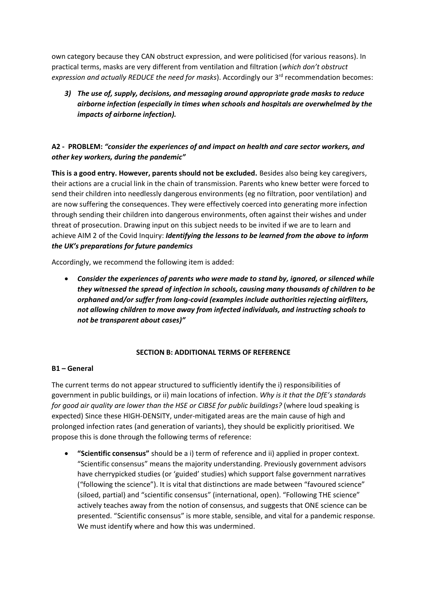own category because they CAN obstruct expression, and were politicised (for various reasons). In practical terms, masks are very different from ventilation and filtration (*which don't obstruct expression and actually REDUCE the need for masks*). Accordingly our 3<sup>rd</sup> recommendation becomes:

*3) The use of, supply, decisions, and messaging around appropriate grade masks to reduce airborne infection (especially in times when schools and hospitals are overwhelmed by the impacts of airborne infection).*

# **A2 - PROBLEM:** *"consider the experiences of and impact on health and care sector workers, and other key workers, during the pandemic"*

**This is a good entry. However, parents should not be excluded.** Besides also being key caregivers, their actions are a crucial link in the chain of transmission. Parents who knew better were forced to send their children into needlessly dangerous environments (eg no filtration, poor ventilation) and are now suffering the consequences. They were effectively coerced into generating more infection through sending their children into dangerous environments, often against their wishes and under threat of prosecution. Drawing input on this subject needs to be invited if we are to learn and achieve AIM 2 of the Covid Inquiry: *Identifying the lessons to be learned from the above to inform the UK's preparations for future pandemics*

Accordingly, we recommend the following item is added:

• *Consider the experiences of parents who were made to stand by, ignored, or silenced while they witnessed the spread of infection in schools, causing many thousands of children to be orphaned and/or suffer from long-covid (examples include authorities rejecting airfilters, not allowing children to move away from infected individuals, and instructing schools to not be transparent about cases)"*

## **SECTION B: ADDITIONAL TERMS OF REFERENCE**

#### **B1 – General**

The current terms do not appear structured to sufficiently identify the i) responsibilities of government in public buildings, or ii) main locations of infection. *Why is it that the DfE's standards for good air quality are lower than the HSE or CIBSE for public buildings?* (where loud speaking is expected) Since these HIGH-DENSITY, under-mitigated areas are the main cause of high and prolonged infection rates (and generation of variants), they should be explicitly prioritised. We propose this is done through the following terms of reference:

• **"Scientific consensus"** should be a i) term of reference and ii) applied in proper context. "Scientific consensus" means the majority understanding. Previously government advisors have cherrypicked studies (or 'guided' studies) which support false government narratives ("following the science"). It is vital that distinctions are made between "favoured science" (siloed, partial) and "scientific consensus" (international, open). "Following THE science" actively teaches away from the notion of consensus, and suggests that ONE science can be presented. "Scientific consensus" is more stable, sensible, and vital for a pandemic response. We must identify where and how this was undermined.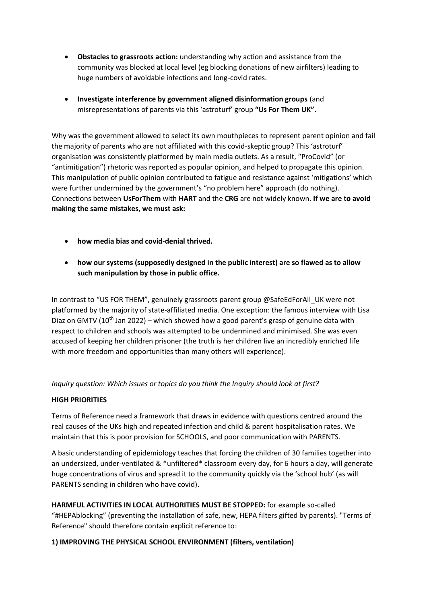- **Obstacles to grassroots action:** understanding why action and assistance from the community was blocked at local level (eg blocking donations of new airfilters) leading to huge numbers of avoidable infections and long-covid rates.
- **Investigate interference by government aligned disinformation groups** (and misrepresentations of parents via this 'astroturf' group **"Us For Them UK".**

Why was the government allowed to select its own mouthpieces to represent parent opinion and fail the majority of parents who are not affiliated with this covid-skeptic group? This 'astroturf' organisation was consistently platformed by main media outlets. As a result, "ProCovid" (or "antimitigation") rhetoric was reported as popular opinion, and helped to propagate this opinion. This manipulation of public opinion contributed to fatigue and resistance against 'mitigations' which were further undermined by the government's "no problem here" approach (do nothing). Connections between **UsForThem** with **HART** and the **CRG** are not widely known. **If we are to avoid making the same mistakes, we must ask:**

- **how media bias and covid-denial thrived.**
- **how our systems (supposedly designed in the public interest) are so flawed as to allow such manipulation by those in public office.**

In contrast to "US FOR THEM", genuinely grassroots parent group @SafeEdForAll\_UK were not platformed by the majority of state-affiliated media. One exception: the famous interview with Lisa Diaz on GMTV ( $10<sup>th</sup>$  Jan 2022) – which showed how a good parent's grasp of genuine data with respect to children and schools was attempted to be undermined and minimised. She was even accused of keeping her children prisoner (the truth is her children live an incredibly enriched life with more freedom and opportunities than many others will experience).

*Inquiry question: Which issues or topics do you think the Inquiry should look at first?*

#### **HIGH PRIORITIES**

Terms of Reference need a framework that draws in evidence with questions centred around the real causes of the UKs high and repeated infection and child & parent hospitalisation rates. We maintain that this is poor provision for SCHOOLS, and poor communication with PARENTS.

A basic understanding of epidemiology teaches that forcing the children of 30 families together into an undersized, under-ventilated & \*unfiltered\* classroom every day, for 6 hours a day, will generate huge concentrations of virus and spread it to the community quickly via the 'school hub' (as will PARENTS sending in children who have covid).

**HARMFUL ACTIVITIES IN LOCAL AUTHORITIES MUST BE STOPPED:** for example so-called "#HEPAblocking" (preventing the installation of safe, new, HEPA filters gifted by parents). "Terms of Reference" should therefore contain explicit reference to:

## **1) IMPROVING THE PHYSICAL SCHOOL ENVIRONMENT (filters, ventilation)**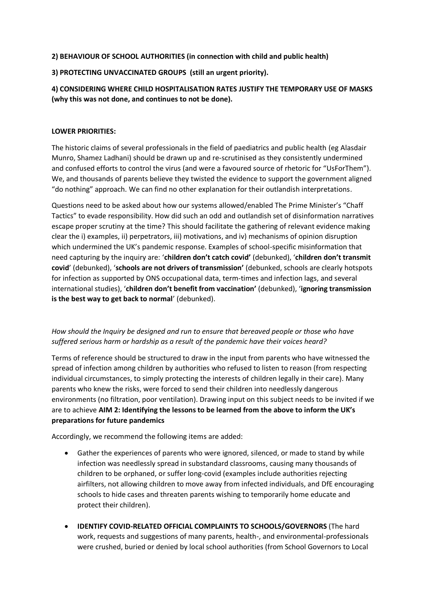## **2) BEHAVIOUR OF SCHOOL AUTHORITIES (in connection with child and public health)**

### **3) PROTECTING UNVACCINATED GROUPS (still an urgent priority).**

# **4) CONSIDERING WHERE CHILD HOSPITALISATION RATES JUSTIFY THE TEMPORARY USE OF MASKS (why this was not done, and continues to not be done).**

#### **LOWER PRIORITIES:**

The historic claims of several professionals in the field of paediatrics and public health (eg Alasdair Munro, Shamez Ladhani) should be drawn up and re-scrutinised as they consistently undermined and confused efforts to control the virus (and were a favoured source of rhetoric for "UsForThem"). We, and thousands of parents believe they twisted the evidence to support the government aligned "do nothing" approach. We can find no other explanation for their outlandish interpretations.

Questions need to be asked about how our systems allowed/enabled The Prime Minister's "Chaff Tactics" to evade responsibility. How did such an odd and outlandish set of disinformation narratives escape proper scrutiny at the time? This should facilitate the gathering of relevant evidence making clear the i) examples, ii) perpetrators, iii) motivations, and iv) mechanisms of opinion disruption which undermined the UK's pandemic response. Examples of school-specific misinformation that need capturing by the inquiry are: '**children don't catch covid'** (debunked), '**children don't transmit covid**' (debunked), '**schools are not drivers of transmission'** (debunked, schools are clearly hotspots for infection as supported by ONS occupational data, term-times and infection lags, and several international studies), '**children don't benefit from vaccination'** (debunked), '**ignoring transmission is the best way to get back to normal**' (debunked).

## *How should the Inquiry be designed and run to ensure that bereaved people or those who have suffered serious harm or hardship as a result of the pandemic have their voices heard?*

Terms of reference should be structured to draw in the input from parents who have witnessed the spread of infection among children by authorities who refused to listen to reason (from respecting individual circumstances, to simply protecting the interests of children legally in their care). Many parents who knew the risks, were forced to send their children into needlessly dangerous environments (no filtration, poor ventilation). Drawing input on this subject needs to be invited if we are to achieve **AIM 2: Identifying the lessons to be learned from the above to inform the UK's preparations for future pandemics**

Accordingly, we recommend the following items are added:

- Gather the experiences of parents who were ignored, silenced, or made to stand by while infection was needlessly spread in substandard classrooms, causing many thousands of children to be orphaned, or suffer long-covid (examples include authorities rejecting airfilters, not allowing children to move away from infected individuals, and DfE encouraging schools to hide cases and threaten parents wishing to temporarily home educate and protect their children).
- **IDENTIFY COVID-RELATED OFFICIAL COMPLAINTS TO SCHOOLS/GOVERNORS** (The hard work, requests and suggestions of many parents, health-, and environmental-professionals were crushed, buried or denied by local school authorities (from School Governors to Local